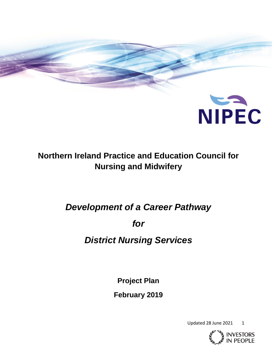

## **Northern Ireland Practice and Education Council for Nursing and Midwifery**

# *Development of a Career Pathway*

*for* 

## *District Nursing Services*

**Project Plan**

**February 2019**

Updated 28 June 2021 1

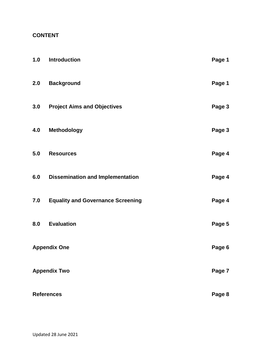## **CONTENT**

| 1.0                 | <b>Introduction</b>                      | Page 1 |
|---------------------|------------------------------------------|--------|
| 2.0                 | <b>Background</b>                        | Page 1 |
| 3.0                 | <b>Project Aims and Objectives</b>       | Page 3 |
| 4.0                 | <b>Methodology</b>                       | Page 3 |
| 5.0                 | <b>Resources</b>                         | Page 4 |
| 6.0                 | <b>Dissemination and Implementation</b>  | Page 4 |
| 7.0                 | <b>Equality and Governance Screening</b> | Page 4 |
| 8.0                 | <b>Evaluation</b>                        | Page 5 |
| <b>Appendix One</b> |                                          | Page 6 |
| <b>Appendix Two</b> |                                          | Page 7 |
| <b>References</b>   |                                          | Page 8 |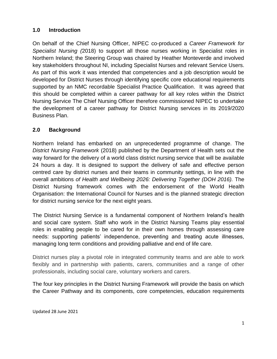## **1.0 Introduction**

On behalf of the Chief Nursing Officer, NIPEC co-produced a *Career Framework for Specialist Nursing (*2018) to support all those nurses working in Specialist roles in Northern Ireland; the Steering Group was chaired by Heather Monteverde and involved key stakeholders throughout NI, including Specialist Nurses and relevant Service Users. As part of this work it was intended that competencies and a job description would be developed for District Nurses through identifying specific core educational requirements supported by an NMC recordable Specialist Practice Qualification. It was agreed that this should be completed within a career pathway for all key roles within the District Nursing Service The Chief Nursing Officer therefore commissioned NIPEC to undertake the development of a career pathway for District Nursing services in its 2019/2020 Business Plan.

## **2.0 Background**

Northern Ireland has embarked on an unprecedented programme of change. The *District Nursing Framework* (2018) published by the Department of Health sets out the way forward for the delivery of a world class district nursing service that will be available 24 hours a day. It is designed to support the delivery of safe and effective person centred care by district nurses and their teams in community settings, in line with the overall ambitions *of Health and Wellbeing 2026: Delivering Together (DOH 2016).* The District Nursing framework comes with the endorsement of the World Health Organisation: the International Council for Nurses and is the planned strategic direction for district nursing service for the next eight years.

The District Nursing Service is a fundamental component of Northern Ireland's health and social care system. Staff who work in the District Nursing Teams play essential roles in enabling people to be cared for in their own homes through assessing care needs: supporting patients' independence, preventing and treating acute illnesses, managing long term conditions and providing palliative and end of life care.

District nurses play a pivotal role in integrated community teams and are able to work flexibly and in partnership with patients, carers, communities and a range of other professionals, including social care, voluntary workers and carers.

The four key principles in the District Nursing Framework will provide the basis on which the Career Pathway and its components, core competencies, education requirements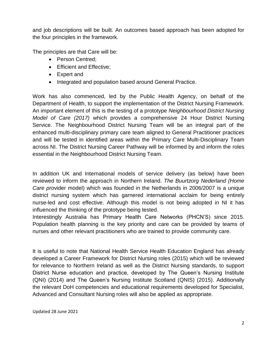and job descriptions will be built. An outcomes based approach has been adopted for the four principles in the framework.

The principles are that Care will be:

- Person Centred:
- Efficient and Effective;
- Expert and
- Integrated and population based around General Practice.

Work has also commenced, led by the Public Health Agency, on behalf of the Department of Health, to support the implementation of the District Nursing Framework. An important element of this is the testing of a prototype *Neighbourhood District Nursing Model of Care (2017)* which provides a comprehensive 24 Hour District Nursing Service. The Neighbourhood District Nursing Team will be an integral part of the enhanced multi-disciplinary primary care team aligned to General Practitioner practices and will be tested in identified areas within the Primary Care Multi-Disciplinary Team across NI. The District Nursing Career Pathway will be informed by and inform the roles essential in the Neighbourhood District Nursing Team.

In addition UK and International models of service delivery (as below) have been reviewed to inform the approach in Northern Ireland. *The Buurtzorg Nederland (Home Care pro*vider model) which was founded in the Netherlands in 2006/2007 is a unique district nursing system which has garnered international acclaim for being entirely nurse-led and cost effective. Although this model is not being adopted in NI it has influenced the thinking of the prototype being tested.

Interestingly Australia has Primary Health Care Networks (PHCN'S) since 2015. Population health planning is the key priority and care can be provided by teams of nurses and other relevant practitioners who are trained to provide community care.

It is useful to note that National Health Service Health Education England has already developed a Career Framework for District Nursing roles (2015) which will be reviewed for relevance to Northern Ireland as well as the District Nursing standards, to support District Nurse education and practice, developed by The Queen's Nursing Institute (QNI) (2014) and The Queen's Nursing Institute Scotland (QNIS) (2015). Additionally the relevant DoH competencies and educational requirements developed for Specialist, Advanced and Consultant Nursing roles will also be applied as appropriate.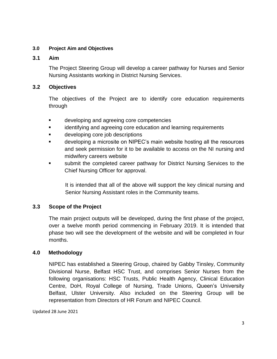### **3.0 Project Aim and Objectives**

#### **3.1 Aim**

The Project Steering Group will develop a career pathway for Nurses and Senior Nursing Assistants working in District Nursing Services.

### **3.2 Objectives**

The objectives of the Project are to identify core education requirements through

- **Example 20** developing and agreeing core competencies
- identifying and agreeing core education and learning requirements
- developing core job descriptions
- **EXECT** developing a microsite on NIPEC's main website hosting all the resources and seek permission for it to be available to access on the NI nursing and midwifery careers website
- submit the completed career pathway for District Nursing Services to the Chief Nursing Officer for approval.

It is intended that all of the above will support the key clinical nursing and Senior Nursing Assistant roles in the Community teams.

### **3.3 Scope of the Project**

The main project outputs will be developed, during the first phase of the project, over a twelve month period commencing in February 2019. It is intended that phase two will see the development of the website and will be completed in four months.

### **4.0 Methodology**

NIPEC has established a Steering Group, chaired by Gabby Tinsley, Community Divisional Nurse, Belfast HSC Trust, and comprises Senior Nurses from the following organisations: HSC Trusts, Public Health Agency, Clinical Education Centre, DoH, Royal College of Nursing, Trade Unions, Queen's University Belfast, Ulster University. Also included on the Steering Group will be representation from Directors of HR Forum and NIPEC Council.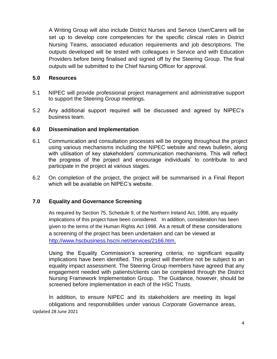A Writing Group will also include District Nurses and Service User/Carers will be set up to develop core competencies for the specific clinical roles in District Nursing Teams, associated education requirements and job descriptions. The outputs developed will be tested with colleagues in Service and with Education Providers before being finalised and signed off by the Steering Group. The final outputs will be submitted to the Chief Nursing Officer for approval.

#### **5.0 Resources**

- 5.1 NIPEC will provide professional project management and administrative support to support the Steering Group meetings.
- 5.2 Any additional support required will be discussed and agreed by NIPEC's business team.

#### **6.0 Dissemination and Implementation**

- 6.1 Communication and consultation processes will be ongoing throughout the project using various mechanisms including the NIPEC website and news bulletin, along with utilisation of key stakeholders' communication mechanisms. This will reflect the progress of the project and encourage individuals' to contribute to and participate in the project at various stages.
- 6.2 On completion of the project, the project will be summarised in a Final Report which will be available on NIPEC's website.

#### **7.0 Equality and Governance Screening**

As required by Section 75, Schedule 9, of the Northern Ireland Act, 1998, any equality implications of this project have been considered. In addition, consideration has been given to the terms of the Human Rights Act 1998. As a result of these considerations a screening of the project has been undertaken and can be viewed at [http://www.hscbusiness.hscni.net/services/2166.htm.](http://www.hscbusiness.hscni.net/services/2166.htm)

Using the Equality Commission's screening criteria; no significant equality implications have been identified. This project will therefore not be subject to an equality impact assessment. The Steering Group members have agreed that any engagement needed with patients/clients can be completed through the District Nursing Framework Implementation Group. The Guidance, however, should be screened before implementation in each of the HSC Trusts.

Updated 28 June 2021 In addition, to ensure NIPEC and its stakeholders are meeting its legal obligations and responsibilities under various *Corporate* Governance areas,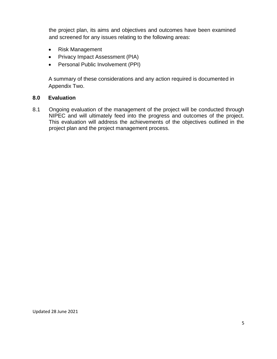the project plan, its aims and objectives and outcomes have been examined and screened for any issues relating to the following areas:

- Risk Management
- Privacy Impact Assessment (PIA)
- Personal Public Involvement (PPI)

A summary of these considerations and any action required is documented in Appendix Two.

#### **8.0 Evaluation**

8.1 Ongoing evaluation of the management of the project will be conducted through NIPEC and will ultimately feed into the progress and outcomes of the project. This evaluation will address the achievements of the objectives outlined in the project plan and the project management process.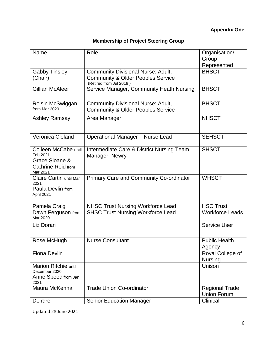|  | <b>Membership of Project Steering Group</b> |
|--|---------------------------------------------|
|--|---------------------------------------------|

| Name                                                                                 | Role                                                                                                                 | Organisation/<br>Group                      |
|--------------------------------------------------------------------------------------|----------------------------------------------------------------------------------------------------------------------|---------------------------------------------|
|                                                                                      |                                                                                                                      | Represented                                 |
| <b>Gabby Tinsley</b><br>(Chair)                                                      | <b>Community Divisional Nurse: Adult,</b><br><b>Community &amp; Older Peoples Service</b><br>(Retired from Jul 2019) | <b>BHSCT</b>                                |
| <b>Gillian McAleer</b>                                                               | Service Manager, Community Heath Nursing                                                                             | <b>BHSCT</b>                                |
| Roisin McSwiggan<br>from Mar 2020                                                    | <b>Community Divisional Nurse: Adult,</b><br><b>Community &amp; Older Peoples Service</b>                            | <b>BHSCT</b>                                |
| <b>Ashley Ramsay</b>                                                                 | Area Manager                                                                                                         | <b>NHSCT</b>                                |
| Veronica Cleland                                                                     | <b>Operational Manager - Nurse Lead</b>                                                                              | <b>SEHSCT</b>                               |
| Colleen McCabe until<br>Feb 2021<br>Grace Sloane &<br>Cathrine Reid from<br>Mar 2021 | Intermediate Care & District Nursing Team<br>Manager, Newry                                                          | <b>SHSCT</b>                                |
| Claire Cartin until Mar<br>2021<br>Paula Devlin from<br>April 2021                   | <b>Primary Care and Community Co-ordinator</b>                                                                       | <b>WHSCT</b>                                |
| Pamela Craig<br>Dawn Ferguson from<br>Mar 2020                                       | <b>NHSC Trust Nursing Workforce Lead</b><br><b>SHSC Trust Nursing Workforce Lead</b>                                 | <b>HSC Trust</b><br><b>Workforce Leads</b>  |
| Liz Doran                                                                            |                                                                                                                      | <b>Service User</b>                         |
| Rose McHugh                                                                          | <b>Nurse Consultant</b>                                                                                              | <b>Public Health</b><br>Agency              |
| <b>Fiona Devlin</b>                                                                  |                                                                                                                      | Royal College of<br><b>Nursing</b>          |
| <b>Marion Ritchie until</b><br>December 2020<br>Anne Speed from Jan<br>2021          |                                                                                                                      | Unison                                      |
| Maura McKenna                                                                        | <b>Trade Union Co-ordinator</b>                                                                                      | <b>Regional Trade</b><br><b>Union Forum</b> |
| Deirdre                                                                              | <b>Senior Education Manager</b>                                                                                      | Clinical                                    |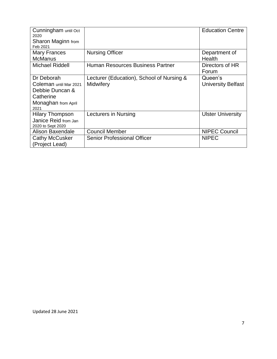| Cunningham until Oct<br>2020 |                                           | <b>Education Centre</b>   |
|------------------------------|-------------------------------------------|---------------------------|
| Sharon Maginn from           |                                           |                           |
| Feb 2021                     |                                           |                           |
| <b>Mary Frances</b>          | <b>Nursing Officer</b>                    | Department of             |
| <b>McManus</b>               |                                           | Health                    |
| Michael Riddell              | Human Resources Business Partner          | Directors of HR           |
|                              |                                           | Forum                     |
| Dr Deborah                   | Lecturer (Education), School of Nursing & | Queen's                   |
| Coleman until Mar 2021       | Midwifery                                 | <b>University Belfast</b> |
| Debbie Duncan &              |                                           |                           |
| Catherine                    |                                           |                           |
| Monaghan from April          |                                           |                           |
| 2021                         |                                           |                           |
| <b>Hilary Thompson</b>       | Lecturers in Nursing                      | <b>Ulster University</b>  |
| Janice Reid from Jan         |                                           |                           |
| 2020 to Sept 2020            |                                           |                           |
| <b>Alison Baxendale</b>      | <b>Council Member</b>                     | <b>NIPEC Council</b>      |
| Cathy McCusker               | <b>Senior Professional Officer</b>        | <b>NIPEC</b>              |
| (Project Lead)               |                                           |                           |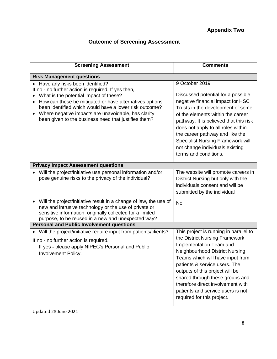## **Outcome of Screening Assessment**

| <b>Screening Assessment</b>                                                                                                                                                                                                                                                                                                                                          | <b>Comments</b>                                                                                                                                                                                                                                                                                                                                                                                 |  |  |  |
|----------------------------------------------------------------------------------------------------------------------------------------------------------------------------------------------------------------------------------------------------------------------------------------------------------------------------------------------------------------------|-------------------------------------------------------------------------------------------------------------------------------------------------------------------------------------------------------------------------------------------------------------------------------------------------------------------------------------------------------------------------------------------------|--|--|--|
| <b>Risk Management questions</b>                                                                                                                                                                                                                                                                                                                                     |                                                                                                                                                                                                                                                                                                                                                                                                 |  |  |  |
| Have any risks been identified?<br>If no - no further action is required. If yes then,<br>What is the potential impact of these?<br>How can these be mitigated or have alternatives options<br>been identified which would have a lower risk outcome?<br>Where negative impacts are unavoidable, has clarity<br>been given to the business need that justifies them? | 9 October 2019<br>Discussed potential for a possible<br>negative financial impact for HSC<br>Trusts in the development of some<br>of the elements within the career<br>pathway. It is believed that this risk<br>does not apply to all roles within<br>the career pathway and like the<br><b>Specialist Nursing Framework will</b><br>not change individuals existing<br>terms and conditions.  |  |  |  |
| <b>Privacy Impact Assessment questions</b>                                                                                                                                                                                                                                                                                                                           |                                                                                                                                                                                                                                                                                                                                                                                                 |  |  |  |
| Will the project/initiative use personal information and/or<br>pose genuine risks to the privacy of the individual?                                                                                                                                                                                                                                                  | The website will promote careers in<br>District Nursing but only with the<br>individuals consent and will be<br>submitted by the individual                                                                                                                                                                                                                                                     |  |  |  |
| Will the project/initiative result in a change of law, the use of<br>new and intrusive technology or the use of private or<br>sensitive information, originally collected for a limited<br>purpose, to be reused in a new and unexpected way?                                                                                                                        | <b>No</b>                                                                                                                                                                                                                                                                                                                                                                                       |  |  |  |
| <b>Personal and Public Involvement questions</b>                                                                                                                                                                                                                                                                                                                     |                                                                                                                                                                                                                                                                                                                                                                                                 |  |  |  |
| Will the project/initiative require input from patients/clients?<br>If no - no further action is required.<br>If yes - please apply NIPEC's Personal and Public<br>Involvement Policy.                                                                                                                                                                               | This project is running in parallel to<br>the District Nursing Framework<br>Implementation Team and<br><b>Neighbourhood District Nursing</b><br>Teams which will have input from<br>patients & service users. The<br>outputs of this project will be<br>shared through these groups and<br>therefore direct involvement with<br>patients and service users is not<br>required for this project. |  |  |  |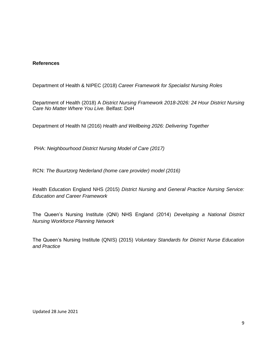#### **References**

Department of Health & NIPEC (2018) *Career Framework for Specialist Nursing Roles*

Department of Health (2018) A *District Nursing Framework 2018-2026: 24 Hour District Nursing Care No Matter Where You Live.* Belfast: DoH

Department of Health NI (2016) *Health and Wellbeing 2026: Delivering Together*

PHA: *Neighbourhood District Nursing Model of Care (2017)*

RCN: *The Buurtzorg Nederland (home care provider) model (2016)*

Health Education England NHS (2015) *District Nursing and General Practice Nursing Service: Education and Career Framework*

The Queen's Nursing Institute (QNI) NHS England (2014) *Developing a National District Nursing Workforce Planning Network*

The Queen's Nursing Institute (QNIS) (2015) *Voluntary Standards for District Nurse Education and Practice*